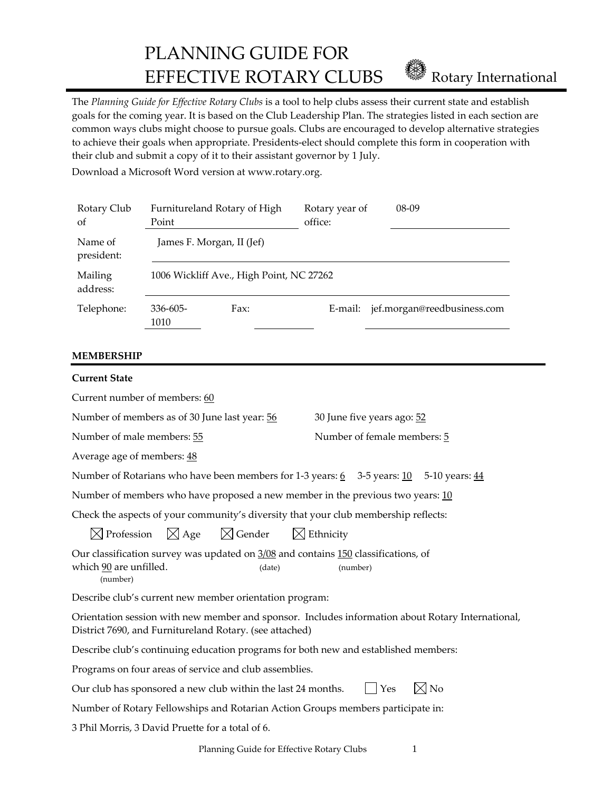PLANNING GUIDE FOR EFFECTIVE ROTARY CLUBS **EFFECTIVE ROTARY** CLUBS

The *Planning Guide for Effective Rotary Clubs* is a tool to help clubs assess their current state and establish goals for the coming year. It is based on the Club Leadership Plan. The strategies listed in each section are common ways clubs might choose to pursue goals. Clubs are encouraged to develop alternative strategies to achieve their goals when appropriate. Presidents‐elect should complete this form in cooperation with their club and submit a copy of it to their assistant governor by 1 July.

Download a Microsoft Word version at www.rotary.org.

| Rotary Club<br>of     | Furnitureland Rotary of High<br>Point    |      | Rotary year of<br>office: | $08-09$                     |  |
|-----------------------|------------------------------------------|------|---------------------------|-----------------------------|--|
| Name of<br>president: | James F. Morgan, II (Jef)                |      |                           |                             |  |
| Mailing<br>address:   | 1006 Wickliff Ave., High Point, NC 27262 |      |                           |                             |  |
| Telephone:            | $336 - 605 -$<br>1010                    | Fax: | E-mail:                   | jef.morgan@reedbusiness.com |  |

#### **MEMBERSHIP**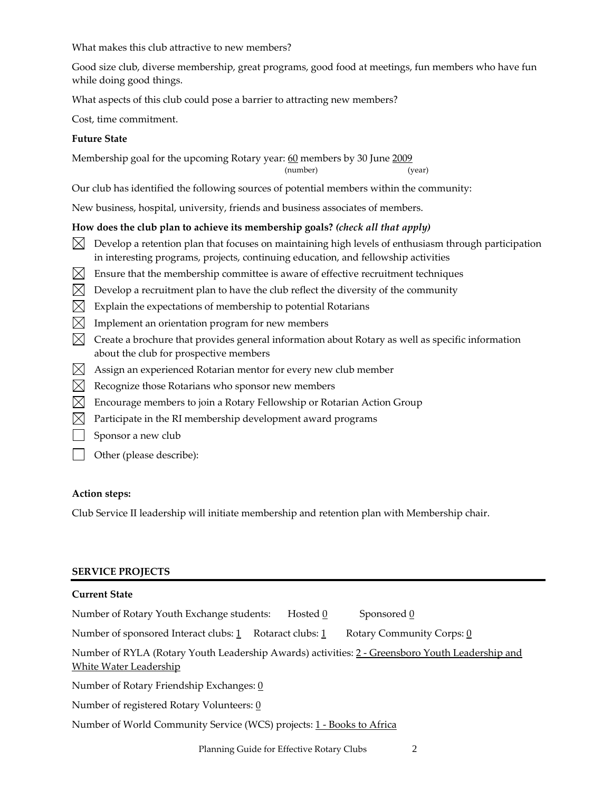What makes this club attractive to new members?

Good size club, diverse membership, great programs, good food at meetings, fun members who have fun while doing good things.

What aspects of this club could pose a barrier to attracting new members?

Cost, time commitment.

## **Future State**

Membership goal for the upcoming Rotary year: 60 members by 30 June 2009

(number) (year)

Our club has identified the following sources of potential members within the community:

New business, hospital, university, friends and business associates of members.

## **How does the club plan to achieve its membership goals?** *(check all that apply)*

- $\bowtie$  Develop a retention plan that focuses on maintaining high levels of enthusiasm through participation in interesting programs, projects, continuing education, and fellowship activities
- $\boxtimes$  Ensure that the membership committee is aware of effective recruitment techniques
- $\boxtimes$  Develop a recruitment plan to have the club reflect the diversity of the community
- $\boxtimes$  Explain the expectations of membership to potential Rotarians
- $\boxtimes$  Implement an orientation program for new members
- $\boxtimes$  Create a brochure that provides general information about Rotary as well as specific information about the club for prospective members
- $\boxtimes$  Assign an experienced Rotarian mentor for every new club member
- $\boxtimes$  Recognize those Rotarians who sponsor new members
- $\boxtimes$  Encourage members to join a Rotary Fellowship or Rotarian Action Group
- $\boxtimes$  Participate in the RI membership development award programs
- Sponsor a new club
- Other (please describe):

#### **Action steps:**

Club Service II leadership will initiate membership and retention plan with Membership chair.

#### **SERVICE PROJECTS**

## **Current State**

| Number of Rotary Youth Exchange students:                                                                                        | Hosted 0 | Sponsored 0               |  |
|----------------------------------------------------------------------------------------------------------------------------------|----------|---------------------------|--|
| Number of sponsored Interact clubs: 1 Rotaract clubs: 1                                                                          |          | Rotary Community Corps: 0 |  |
| Number of RYLA (Rotary Youth Leadership Awards) activities: 2 - Greensboro Youth Leadership and<br><b>White Water Leadership</b> |          |                           |  |
| Number of Rotary Friendship Exchanges: 0                                                                                         |          |                           |  |
| Number of registered Rotary Volunteers: 0                                                                                        |          |                           |  |
| Number of World Community Service (WCS) projects: 1 - Books to Africa                                                            |          |                           |  |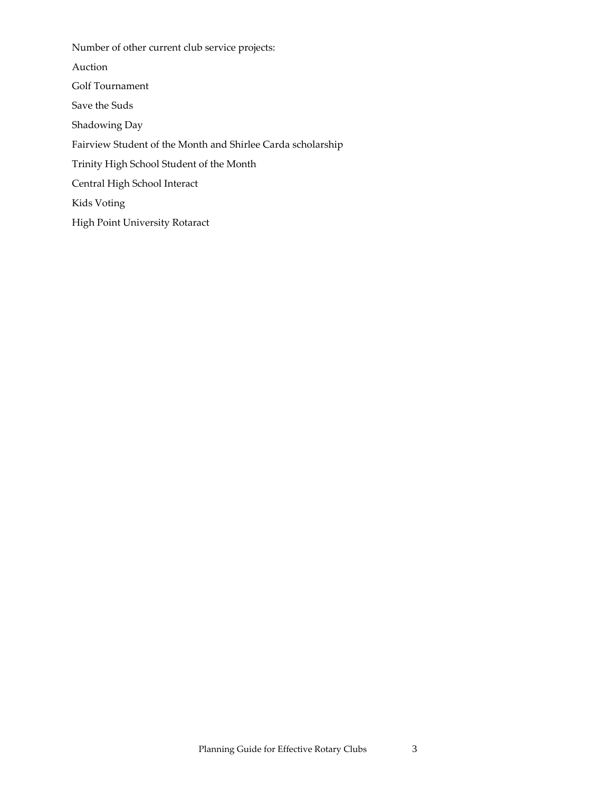Number of other current club service projects: Auction Golf Tournament Save the Suds Shadowing Day Fairview Student of the Month and Shirlee Carda scholarship Trinity High School Student of the Month Central High School Interact Kids Voting High Point University Rotaract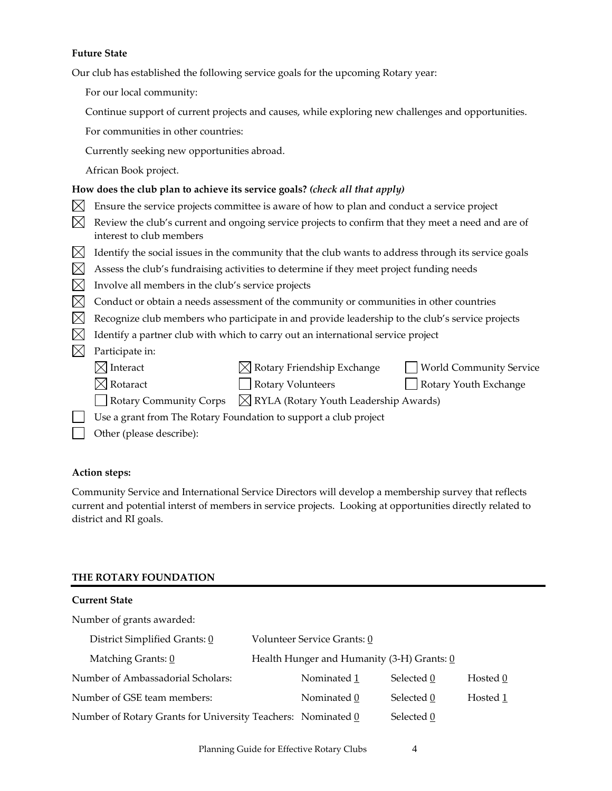#### **Future State**

Our club has established the following service goals for the upcoming Rotary year:

For our local community:

Continue support of current projects and causes, while exploring new challenges and opportunities.

For communities in other countries:

Currently seeking new opportunities abroad.

African Book project.

### **How does the club plan to achieve its service goals?** *(check all that apply)*

- $\boxtimes$  Ensure the service projects committee is aware of how to plan and conduct a service project
- $\boxtimes$  Review the club's current and ongoing service projects to confirm that they meet a need and are of interest to club members
- $\boxtimes$  Identify the social issues in the community that the club wants to address through its service goals
- $\boxtimes$  Assess the club's fundraising activities to determine if they meet project funding needs
- $\boxtimes$  Involve all members in the club's service projects
- $\boxtimes$  Conduct or obtain a needs assessment of the community or communities in other countries
- $\boxtimes$  Recognize club members who participate in and provide leadership to the club's service projects
- $\boxtimes$  Identify a partner club with which to carry out an international service project
- $\boxtimes$  Participate in:

| $\boxtimes$ Interact |  | $\boxtimes$ Rotary Friendship Exchange |  | <b>World Community Service</b> |
|----------------------|--|----------------------------------------|--|--------------------------------|
|----------------------|--|----------------------------------------|--|--------------------------------|

- $\boxtimes$  Rotaract  $\Box$  Rotary Volunteers  $\Box$  Rotary Youth Exchange
	-

- Rotary Community Corps  $\boxtimes$  RYLA (Rotary Youth Leadership Awards)
- Use a grant from The Rotary Foundation to support a club project
	- Other (please describe):

#### **Action steps:**

Community Service and International Service Directors will develop a membership survey that reflects current and potential interst of members in service projects. Looking at opportunities directly related to district and RI goals.

## **THE ROTARY FOUNDATION**

| <b>Current State</b>                                         |                                            |            |          |
|--------------------------------------------------------------|--------------------------------------------|------------|----------|
| Number of grants awarded:                                    |                                            |            |          |
| District Simplified Grants: 0                                | Volunteer Service Grants: 0                |            |          |
| Matching Grants: 0                                           | Health Hunger and Humanity (3-H) Grants: 0 |            |          |
| Number of Ambassadorial Scholars:                            | Nominated 1                                | Selected 0 | Hosted 0 |
| Number of GSE team members:                                  | Nominated 0                                | Selected 0 | Hosted 1 |
| Number of Rotary Grants for University Teachers: Nominated 0 |                                            | Selected 0 |          |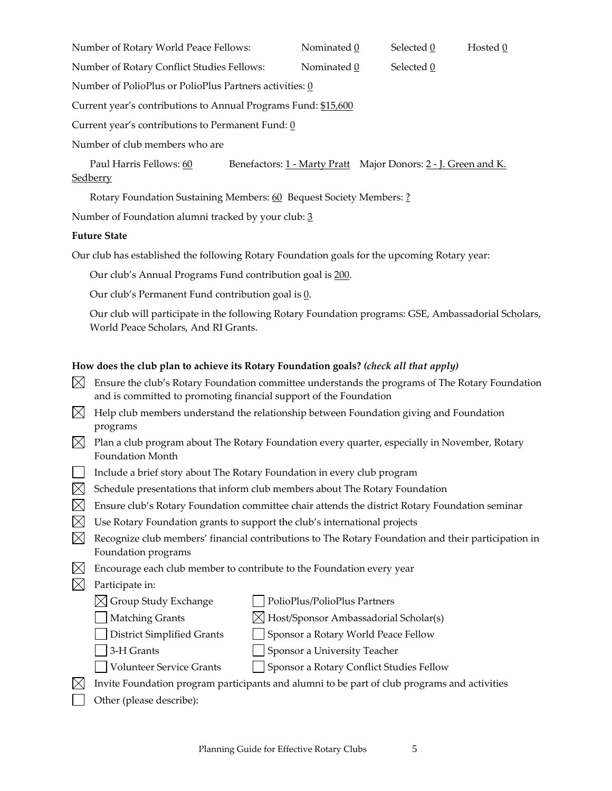Number of Rotary World Peace Fellows:  $\blacksquare$  Nominated  $\underline{0}$  Selected  $\underline{0}$  Hosted  $\underline{0}$ 

Number of Rotary Conflict Studies Fellows: Nominated  $\underline{0}$  Selected  $\underline{0}$ 

Number of PolioPlus or PolioPlus Partners activities: 0

Current year's contributions to Annual Programs Fund: \$15,600

Current year's contributions to Permanent Fund:  $\underline{0}$ 

Number of club members who are

Paul Harris Fellows: 60 Benefactors: 1 - Marty Pratt Major Donors: 2 - J. Green and K. **Sedberry** 

Rotary Foundation Sustaining Members: 60 Bequest Society Members: ?

Number of Foundation alumni tracked by your club: 3

## **Future State**

Our club has established the following Rotary Foundation goals for the upcoming Rotary year:

Our club's Annual Programs Fund contribution goal is 200.

Our club's Permanent Fund contribution goal is 0.

Our club will participate in the following Rotary Foundation programs: GSE, Ambassadorial Scholars, World Peace Scholars, And RI Grants.

# **How does the club plan to achieve its Rotary Foundation goals?** *(check all that apply)*

- $\boxtimes$  Ensure the club's Rotary Foundation committee understands the programs of The Rotary Foundation and is committed to promoting financial support of the Foundation
- $\boxtimes$  Help club members understand the relationship between Foundation giving and Foundation programs
- $\boxtimes$  Plan a club program about The Rotary Foundation every quarter, especially in November, Rotary Foundation Month
- Include a brief story about The Rotary Foundation in every club program
- $\boxtimes$  Schedule presentations that inform club members about The Rotary Foundation
- $\boxtimes$  Ensure club's Rotary Foundation committee chair attends the district Rotary Foundation seminar
- $\boxtimes$  Use Rotary Foundation grants to support the club's international projects
- $\boxtimes$  Recognize club members' financial contributions to The Rotary Foundation and their participation in Foundation programs
- $\boxtimes$  Encourage each club member to contribute to the Foundation every year

# $\boxtimes$  Participate in:

- $\boxtimes$  Group Study Exchange  $\Box$  PolioPlus/PolioPlus Partners
- $\Box$  Matching Grants  $\boxtimes$  Host/Sponsor Ambassadorial Scholar(s)
- District Simplified Grants Sponsor a Rotary World Peace Fellow
- 3-H Grants Sponsor a University Teacher
- Volunteer Service Grants Sponsor a Rotary Conflict Studies Fellow
- $\boxtimes$  Invite Foundation program participants and alumni to be part of club programs and activities
- Other (please describe):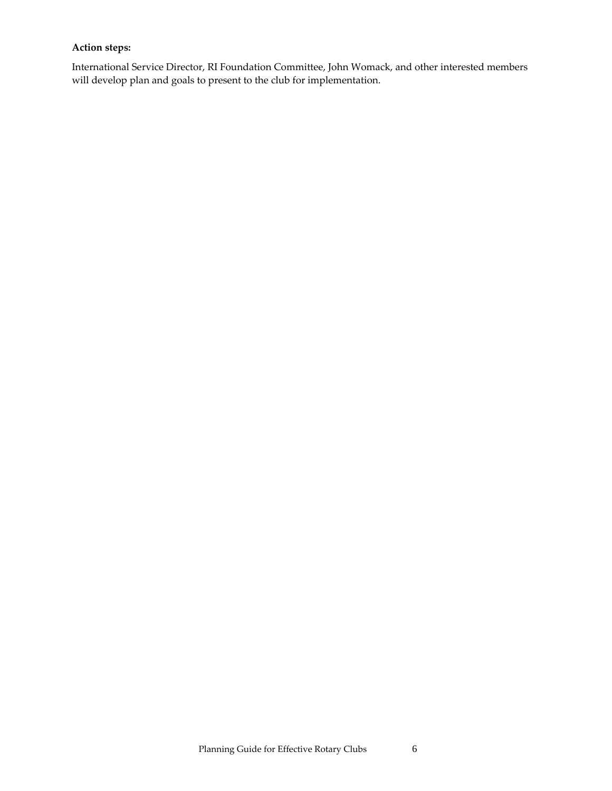### **Action steps:**

International Service Director, RI Foundation Committee, John Womack, and other interested members will develop plan and goals to present to the club for implementation.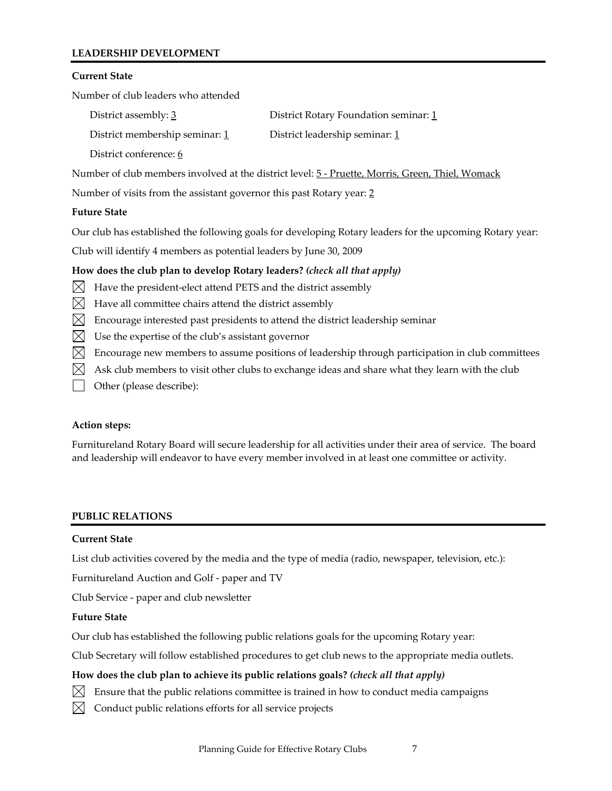## **LEADERSHIP DEVELOPMENT**

#### **Current State**

Number of club leaders who attended

| District assembly: 3           | District Rotary Foundation seminar: 1 |
|--------------------------------|---------------------------------------|
| District membership seminar: 1 | District leadership seminar: 1        |
| District conference: 6         |                                       |

Number of club members involved at the district level: 5 ‐ Pruette, Morris, Green, Thiel, Womack

Number of visits from the assistant governor this past Rotary year: 2

### **Future State**

Our club has established the following goals for developing Rotary leaders for the upcoming Rotary year:

Club will identify 4 members as potential leaders by June 30, 2009

## **How does the club plan to develop Rotary leaders?** *(check all that apply)*

- $\boxtimes$  Have the president-elect attend PETS and the district assembly
- $\boxtimes$  Have all committee chairs attend the district assembly
- $\boxtimes$  Encourage interested past presidents to attend the district leadership seminar
- $\boxtimes$  Use the expertise of the club's assistant governor
- $\boxtimes$  Encourage new members to assume positions of leadership through participation in club committees
- $\boxtimes$  Ask club members to visit other clubs to exchange ideas and share what they learn with the club
- Other (please describe):

## **Action steps:**

Furnitureland Rotary Board will secure leadership for all activities under their area of service. The board and leadership will endeavor to have every member involved in at least one committee or activity.

## **PUBLIC RELATIONS**

## **Current State**

List club activities covered by the media and the type of media (radio, newspaper, television, etc.):

Furnitureland Auction and Golf ‐ paper and TV

Club Service ‐ paper and club newsletter

#### **Future State**

Our club has established the following public relations goals for the upcoming Rotary year:

Club Secretary will follow established procedures to get club news to the appropriate media outlets.

## **How does the club plan to achieve its public relations goals?** *(check all that apply)*

- $\boxtimes$  Ensure that the public relations committee is trained in how to conduct media campaigns
- $\boxtimes$  Conduct public relations efforts for all service projects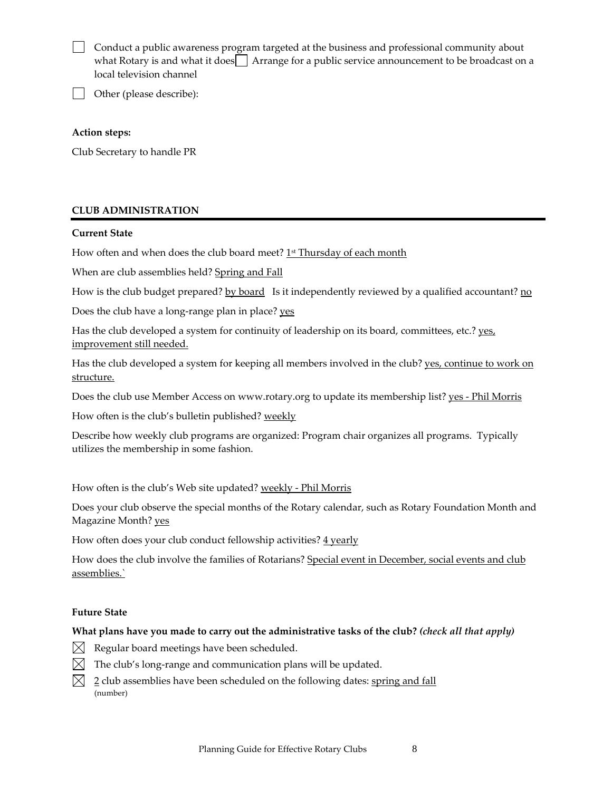| Conduct a public awareness program targeted at the business and professional community about   |
|------------------------------------------------------------------------------------------------|
| what Rotary is and what it does Arrange for a public service announcement to be broadcast on a |
| local television channel                                                                       |

Other (please describe):

#### **Action steps:**

Club Secretary to handle PR

## **CLUB ADMINISTRATION**

### **Current State**

How often and when does the club board meet? 1<sup>st</sup> Thursday of each month

When are club assemblies held? Spring and Fall

How is the club budget prepared? <u>by board</u> Is it independently reviewed by a qualified accountant?  $\underline{n\omega}$ 

Does the club have a long-range plan in place? yes

Has the club developed a system for continuity of leadership on its board, committees, etc.?  $ves$ </u> improvement still needed.

Has the club developed a system for keeping all members involved in the club? <u>yes, continue to work on</u> structure.

Does the club use Member Access on www.rotary.org to update its membership list? yes - Phil Morris

How often is the club's bulletin published? weekly

Describe how weekly club programs are organized: Program chair organizes all programs. Typically utilizes the membership in some fashion.

How often is the club's Web site updated? weekly - Phil Morris

Does your club observe the special months of the Rotary calendar, such as Rotary Foundation Month and Magazine Month? yes

How often does your club conduct fellowship activities?  $4$  yearly

How does the club involve the families of Rotarians? Special event in December, social events and club assemblies.`

## **Future State**

## **What plans have you made to carry out the administrative tasks of the club?** *(check all that apply)*

- $\boxtimes$  Regular board meetings have been scheduled.
- $\boxtimes$  The club's long-range and communication plans will be updated.
- $\boxtimes$  2 club assemblies have been scheduled on the following dates: spring and fall (number)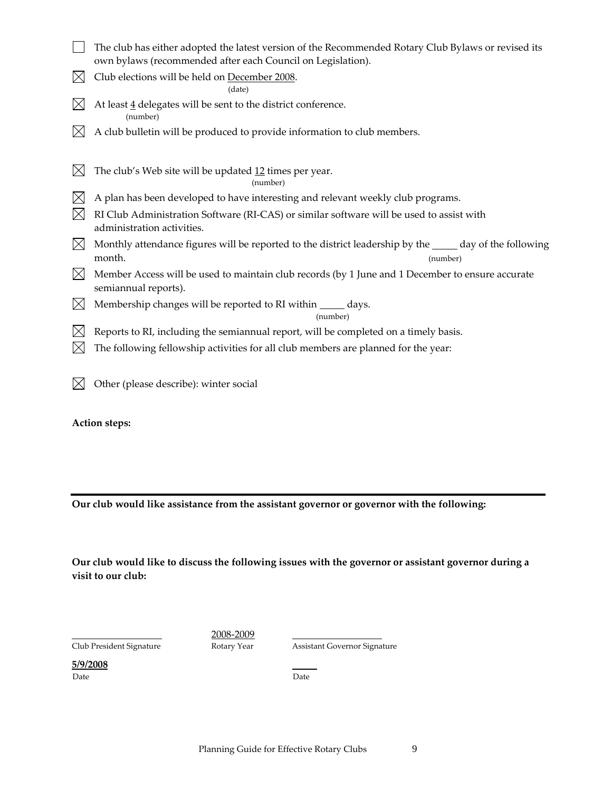|              | The club has either adopted the latest version of the Recommended Rotary Club Bylaws or revised its                      |
|--------------|--------------------------------------------------------------------------------------------------------------------------|
|              | own bylaws (recommended after each Council on Legislation).                                                              |
| $\boxtimes$  | Club elections will be held on December 2008.<br>(date)                                                                  |
|              | At least $\frac{4}{3}$ delegates will be sent to the district conference.<br>(number)                                    |
|              | A club bulletin will be produced to provide information to club members.                                                 |
| $\mathbb{X}$ | The club's Web site will be updated 12 times per year.<br>(number)                                                       |
| $\boxtimes$  | A plan has been developed to have interesting and relevant weekly club programs.                                         |
| $\times$     | RI Club Administration Software (RI-CAS) or similar software will be used to assist with<br>administration activities.   |
| $\boxtimes$  | Monthly attendance figures will be reported to the district leadership by the ____ day of the following                  |
|              | month.<br>(number)                                                                                                       |
| $\boxtimes$  | Member Access will be used to maintain club records (by 1 June and 1 December to ensure accurate<br>semiannual reports). |
| $\boxtimes$  | Membership changes will be reported to RI within ______ days.<br>(number)                                                |
|              | Reports to RI, including the semiannual report, will be completed on a timely basis.                                     |
|              | The following fellowship activities for all club members are planned for the year:                                       |
|              | Other (please describe): winter social                                                                                   |

**Action steps:**

**Our club would like assistance from the assistant governor or governor with the following:**

**Our club would like to discuss the following issues with the governor or assistant governor during a visit to our club:**

2008-2009<br>Club President Signature Rotary Year

Assistant Governor Signature

**5/9/2008** Date **Date** Date **Date**